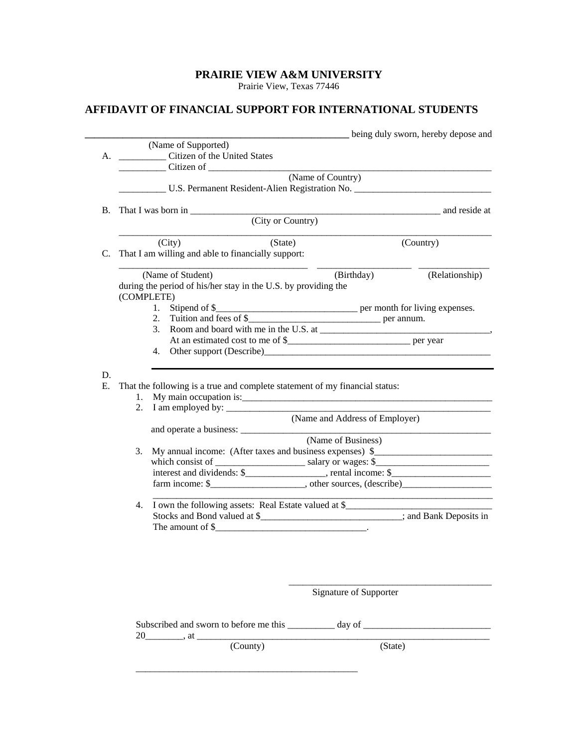## **PRAIRIE VIEW A&M UNIVERSITY**

Prairie View, Texas 77446

## **AFFIDAVIT OF FINANCIAL SUPPORT FOR INTERNATIONAL STUDENTS**

|    |                                                                                                                                                                                                                                                                                           |                                | being duly sworn, hereby depose and |  |
|----|-------------------------------------------------------------------------------------------------------------------------------------------------------------------------------------------------------------------------------------------------------------------------------------------|--------------------------------|-------------------------------------|--|
|    | (Name of Supported)                                                                                                                                                                                                                                                                       |                                |                                     |  |
|    | A. ______________ Citizen of the United States                                                                                                                                                                                                                                            |                                |                                     |  |
|    | Citizen of                                                                                                                                                                                                                                                                                |                                |                                     |  |
|    |                                                                                                                                                                                                                                                                                           | (Name of Country)              |                                     |  |
|    | U.S. Permanent Resident-Alien Registration No.                                                                                                                                                                                                                                            |                                |                                     |  |
| В. |                                                                                                                                                                                                                                                                                           |                                | and reside at                       |  |
|    | (City or Country)                                                                                                                                                                                                                                                                         |                                |                                     |  |
|    | (City)<br>(State)                                                                                                                                                                                                                                                                         |                                | (Country)                           |  |
| C. | That I am willing and able to financially support:                                                                                                                                                                                                                                        |                                |                                     |  |
|    |                                                                                                                                                                                                                                                                                           |                                |                                     |  |
|    | (Name of Student)                                                                                                                                                                                                                                                                         | (Birthday)                     | (Relationship)                      |  |
|    | during the period of his/her stay in the U.S. by providing the                                                                                                                                                                                                                            |                                |                                     |  |
|    | (COMPLETE)                                                                                                                                                                                                                                                                                |                                |                                     |  |
|    |                                                                                                                                                                                                                                                                                           |                                |                                     |  |
|    |                                                                                                                                                                                                                                                                                           |                                |                                     |  |
|    |                                                                                                                                                                                                                                                                                           |                                |                                     |  |
|    |                                                                                                                                                                                                                                                                                           |                                |                                     |  |
|    | 4.                                                                                                                                                                                                                                                                                        |                                |                                     |  |
|    |                                                                                                                                                                                                                                                                                           |                                |                                     |  |
| D. |                                                                                                                                                                                                                                                                                           |                                |                                     |  |
| Е. | That the following is a true and complete statement of my financial status:                                                                                                                                                                                                               |                                |                                     |  |
|    |                                                                                                                                                                                                                                                                                           |                                |                                     |  |
|    |                                                                                                                                                                                                                                                                                           |                                |                                     |  |
|    |                                                                                                                                                                                                                                                                                           | (Name and Address of Employer) |                                     |  |
|    |                                                                                                                                                                                                                                                                                           |                                |                                     |  |
|    |                                                                                                                                                                                                                                                                                           | (Name of Business)             |                                     |  |
| 3. | My annual income: (After taxes and business expenses) \$                                                                                                                                                                                                                                  |                                |                                     |  |
|    |                                                                                                                                                                                                                                                                                           |                                |                                     |  |
|    |                                                                                                                                                                                                                                                                                           |                                |                                     |  |
|    |                                                                                                                                                                                                                                                                                           |                                |                                     |  |
|    |                                                                                                                                                                                                                                                                                           |                                |                                     |  |
|    | 4. I own the following assets: Real Estate valued at \$__________________________                                                                                                                                                                                                         |                                |                                     |  |
|    | Stocks and Bond valued at \$_______________________________; and Bank Deposits in                                                                                                                                                                                                         |                                |                                     |  |
|    | The amount of $\frac{1}{2}$ and $\frac{1}{2}$ and $\frac{1}{2}$ and $\frac{1}{2}$ and $\frac{1}{2}$ and $\frac{1}{2}$ and $\frac{1}{2}$ and $\frac{1}{2}$ and $\frac{1}{2}$ and $\frac{1}{2}$ and $\frac{1}{2}$ and $\frac{1}{2}$ and $\frac{1}{2}$ and $\frac{1}{2}$ and $\frac{1}{2}$ a |                                |                                     |  |
|    |                                                                                                                                                                                                                                                                                           |                                |                                     |  |
|    |                                                                                                                                                                                                                                                                                           |                                |                                     |  |
|    |                                                                                                                                                                                                                                                                                           |                                |                                     |  |
|    |                                                                                                                                                                                                                                                                                           |                                |                                     |  |
|    |                                                                                                                                                                                                                                                                                           |                                |                                     |  |
|    |                                                                                                                                                                                                                                                                                           | Signature of Supporter         |                                     |  |
|    |                                                                                                                                                                                                                                                                                           |                                |                                     |  |
|    |                                                                                                                                                                                                                                                                                           |                                |                                     |  |
|    |                                                                                                                                                                                                                                                                                           |                                |                                     |  |
|    |                                                                                                                                                                                                                                                                                           |                                |                                     |  |
|    | (County)                                                                                                                                                                                                                                                                                  | (State)                        |                                     |  |
|    |                                                                                                                                                                                                                                                                                           |                                |                                     |  |
|    |                                                                                                                                                                                                                                                                                           |                                |                                     |  |